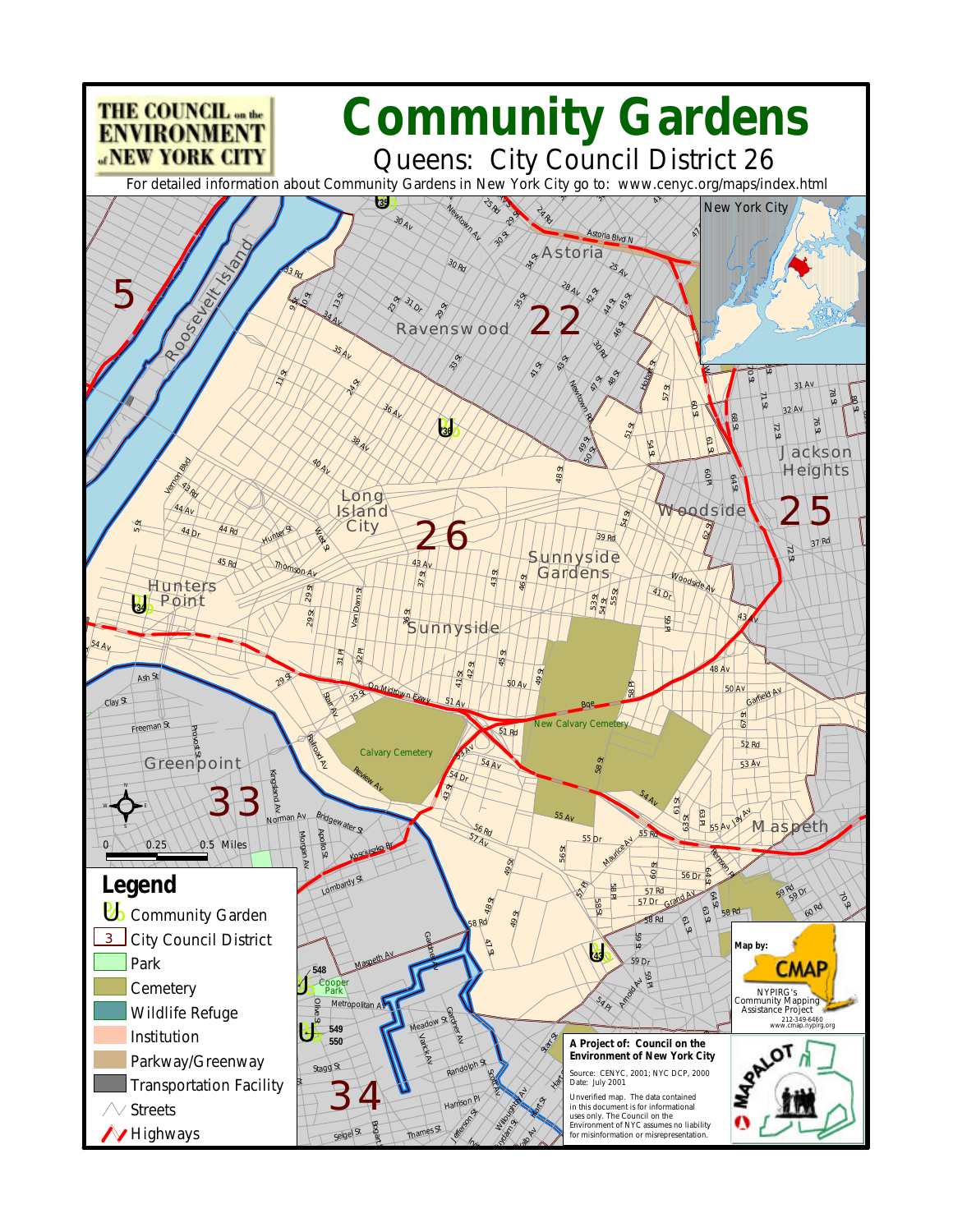